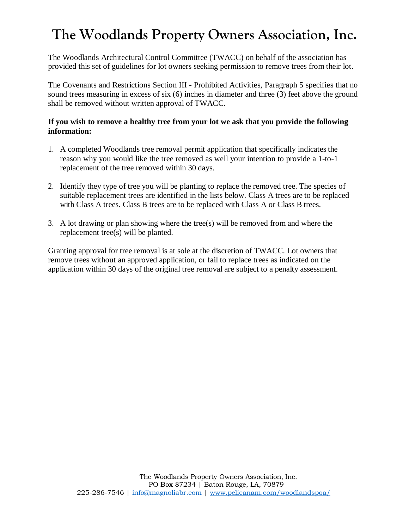# **The Woodlands Property Owners Association, Inc.**

The Woodlands Architectural Control Committee (TWACC) on behalf of the association has provided this set of guidelines for lot owners seeking permission to remove trees from their lot.

The Covenants and Restrictions Section III - Prohibited Activities, Paragraph 5 specifies that no sound trees measuring in excess of six (6) inches in diameter and three (3) feet above the ground shall be removed without written approval of TWACC.

#### **If you wish to remove a healthy tree from your lot we ask that you provide the following information:**

- 1. A completed Woodlands tree removal permit application that specifically indicatesthe reason why you would like the tree removed as well your intention to provide a 1-to-1 replacement of the tree removed within 30 days.
- 2. Identify they type of tree you will be planting to replace the removed tree. The species of suitable replacement trees are identified in the lists below. Class A trees are to be replaced with Class A trees. Class B trees are to be replaced with Class A or Class B trees.
- 3. A lot drawing or plan showing where the tree(s) will be removed from and where the replacement tree(s) will be planted.

Granting approval for tree removal is at sole at the discretion of TWACC. Lot owners that remove trees without an approved application, or fail to replace trees as indicated on the application within 30 days of the original tree removal are subject to a penalty assessment.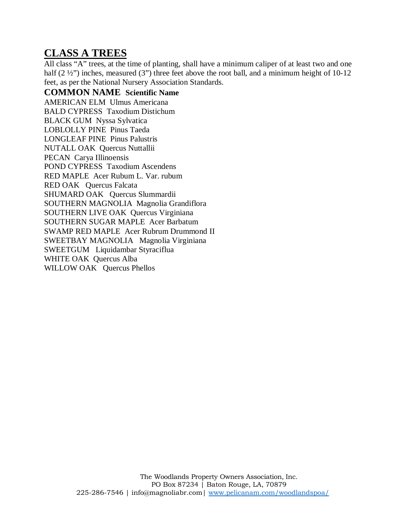#### **CLASS A TREES**

All class "A" trees, at the time of planting, shall have a minimum caliper of at least two and one half  $(2 \frac{1}{2})$  inches, measured  $(3)$  three feet above the root ball, and a minimum height of 10-12 feet, as per the National Nursery Association Standards.

**COMMON NAME Scientific Name** AMERICAN ELM Ulmus Americana BALD CYPRESS Taxodium Distichum BLACK GUM Nyssa Sylvatica LOBLOLLY PINE Pinus Taeda LONGLEAF PINE Pinus Palustris NUTALL OAK Quercus Nuttallii PECAN Carya Illinoensis POND CYPRESS Taxodium Ascendens RED MAPLE Acer Rubum L. Var. rubum RED OAK Quercus Falcata SHUMARD OAK Quercus Slummardii SOUTHERN MAGNOLIA Magnolia Grandiflora SOUTHERN LIVE OAK Quercus Virginiana SOUTHERN SUGAR MAPLE Acer Barbatum SWAMP RED MAPLE Acer Rubrum Drummond II SWEETBAY MAGNOLIA Magnolia Virginiana SWEETGUM Liquidambar Styraciflua WHITE OAK Quercus Alba WILLOW OAK Quercus Phellos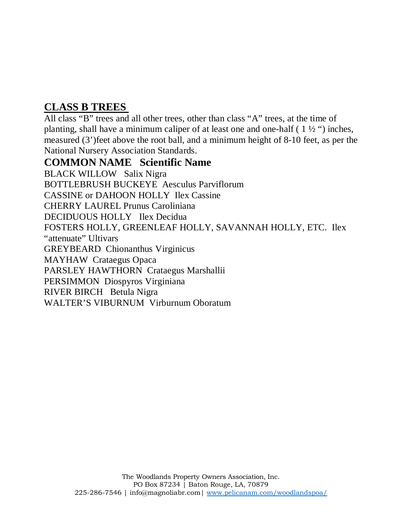### **CLASS B TREES**

All class "B" trees and all other trees, other than class "A" trees, at the time of planting, shall have a minimum caliper of at least one and one-half  $(1\frac{1}{2})$  inches, measured (3')feet above the root ball, and a minimum height of 8-10 feet, as per the National Nursery Association Standards.

#### **COMMON NAME Scientific Name**

BLACK WILLOW Salix Nigra BOTTLEBRUSH BUCKEYE Aesculus Parviflorum CASSINE or DAHOON HOLLY Ilex Cassine CHERRY LAUREL Prunus Caroliniana DECIDUOUS HOLLY Ilex Decidua FOSTERS HOLLY, GREENLEAF HOLLY, SAVANNAH HOLLY, ETC. Ilex "attenuate" Ultivars GREYBEARD Chionanthus Virginicus MAYHAW Crataegus Opaca PARSLEY HAWTHORN Crataegus Marshallii PERSIMMON Diospyros Virginiana RIVER BIRCH Betula Nigra WALTER'S VIBURNUM Virburnum Oboratum